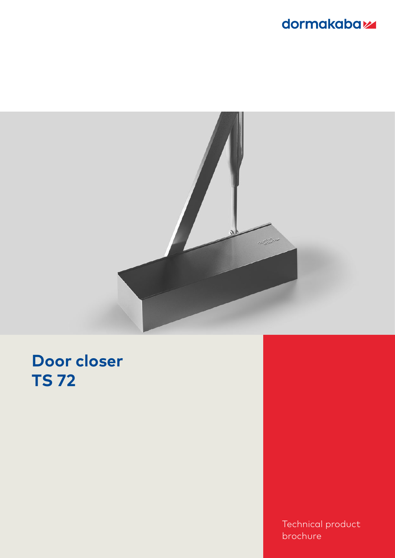## dormakaba<sub>z</sub>



# **Door closer TS 72**

Technical product brochure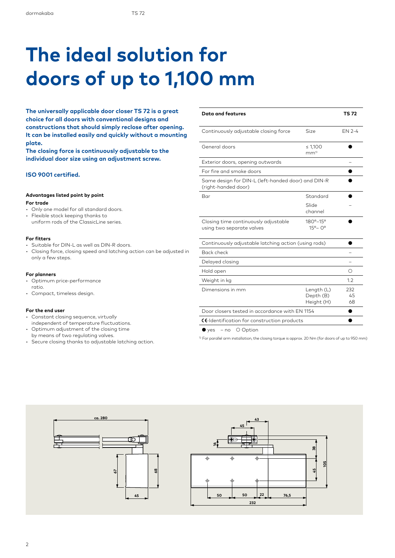# **The ideal solution for doors of up to 1,100 mm**

**The universally applicable door closer TS 72 is a great choice for all doors with conventional designs and constructions that should simply reclose after opening. It can be installed easily and quickly without a mounting plate.** 

**The closing force is continuously adjustable to the individual door size using an adjustment screw.**

### **ISO 9001 certified.**

#### **Advantages listed point by point**

#### **For trade**

- Only one model for all standard doors.
- Flexible stock keeping thanks to uniform rods of the ClassicLine series.

### **For fitters**

- Suitable for DIN-L as well as DIN-R doors.
- Closing force, closing speed and latching action can be adjusted in only a few steps.

#### **For planners**

- Optimum price-performance ratio.
- Compact, timeless design.

#### **For the end user**

- Constant closing sequence, virtually
- independent of temperature fluctuations.
- Optimum adjustment of the closing time
- by means of two regulating valves.
- Secure closing thanks to adjustable latching action.

| <b>Data and features</b>                                                  |                                       | <b>TS 72</b>    |  |  |  |
|---------------------------------------------------------------------------|---------------------------------------|-----------------|--|--|--|
| Continuously adjustable closing force                                     | Size                                  | EN 2-4          |  |  |  |
| General doors                                                             | ≤ 1,100<br>mm <sup>1</sup>            |                 |  |  |  |
| Exterior doors, opening outwards                                          |                                       |                 |  |  |  |
| For fire and smoke doors                                                  |                                       |                 |  |  |  |
| Same design for DIN-L (left-handed door) and DIN-R<br>(right-handed door) |                                       |                 |  |  |  |
| Bar                                                                       | Standard                              |                 |  |  |  |
|                                                                           | Slide<br>channel                      |                 |  |  |  |
| Closing time continuously adjustable<br>using two separate valves         | 180°-15°<br>$15^{\circ} - 0^{\circ}$  |                 |  |  |  |
| Continuously adjustable latching action (using rods)                      |                                       |                 |  |  |  |
| Back check                                                                |                                       |                 |  |  |  |
| Delayed closing                                                           |                                       |                 |  |  |  |
| Hold open                                                                 |                                       | ∩               |  |  |  |
| Weight in kg                                                              |                                       | 1.2             |  |  |  |
| Dimensions in mm                                                          | Length (L)<br>Depth (B)<br>Height (H) | 232<br>45<br>68 |  |  |  |
| Door closers tested in accordance with EN 1154                            |                                       |                 |  |  |  |
| CC-Identification for construction products                               |                                       |                 |  |  |  |

● yes – no ○ Option

<sup>1)</sup> For parallel arm installation, the closing torque is approx. 20 Nm (for doors of up to 950 mm)

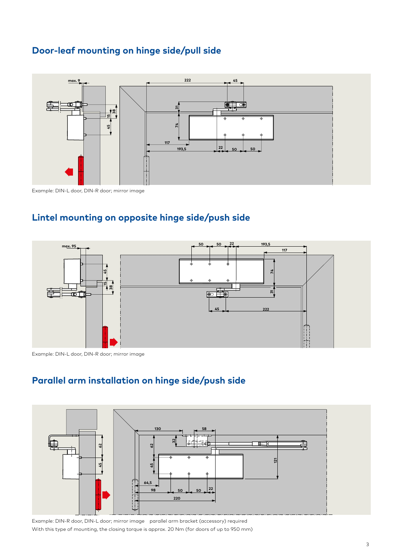### **Door-leaf mounting on hinge side/pull side**



Example: DIN-L door, DIN-R door; mirror image

### **Lintel mounting on opposite hinge side/push side**



Example: DIN-L door, DIN-R door; mirror image



### **Parallel arm installation on hinge side/push side**

Example: DIN-R door, DIN-L door; mirror image parallel arm bracket (accessory) required With this type of mounting, the closing torque is approx. 20 Nm (for doors of up to 950 mm)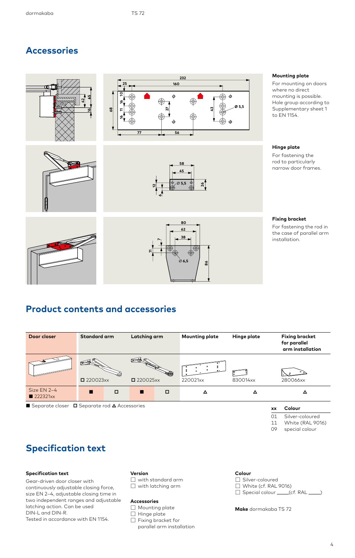### **Accessories**









### **Mounting plate**

For mounting on doors where no direct mounting is possible. Hole group according to Supplementary sheet 1 to EN 1154.

#### **Hinge plate**

For fastening the rod to particularly narrow door frames.



### **Fixing bracket**

For fastening the rod in the case of parallel arm installation.

### **Product contents and accessories**

| Door closer                                              | Standard arm |   | Latching arm |        | <b>Mounting plate</b> | Hinge plate | <b>Fixing bracket</b><br>for parallel<br>arm installation |
|----------------------------------------------------------|--------------|---|--------------|--------|-----------------------|-------------|-----------------------------------------------------------|
|                                                          | 220023xx     |   | ■ 220025xx   |        | 220021xx              | 830014xx    | 280066xx                                                  |
| Size EN 2-4<br>222321xx                                  |              | □ | п            | $\Box$ | Δ                     | Δ           |                                                           |
| Separate closer $\Box$ Separate rod $\Delta$ Accessories |              |   |              |        |                       |             | Colour<br>xх                                              |

### **Specification text**

### **Specification text**

Gear-driven door closer with continuously adjustable closing force, size EN 2–4, adjustable closing time in two independent ranges and adjustable latching action. Can be used DIN-L and DIN-R. Tested in accordance with EN 1154.

### **Version**

- ☐ with standard arm
- ☐ with latching arm

#### **Accessories**

- □ Mounting plate
- ☐ Hinge plate

☐ Fixing bracket for parallel arm installation

#### **Colour**

□ Silver-coloured  $\Box$  White (cf. RAL 9016)  $\Box$  Special colour  $\Box$  (cf. RAL  $\Box$ )

01 11 09

Silver-coloured White (RAL 9016) special colour

**Make** dormakaba TS 72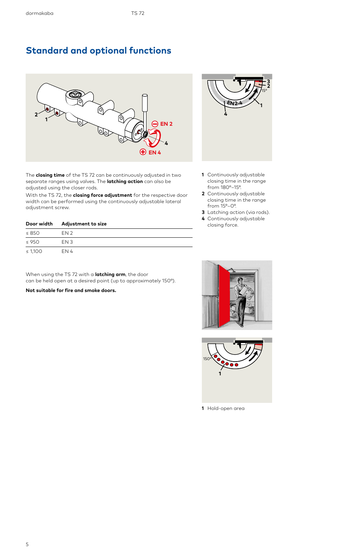### **Standard and optional functions**



The **closing time** of the TS 72 can be continuously adjusted in two separate ranges using valves. The **latching action** can also be adjusted using the closer rods.

With the TS 72, the **closing force adjustment** for the respective door width can be performed using the continuously adjustable lateral adjustment screw.

|            | Door width Adjustment to size |  |  |  |  |  |
|------------|-------------------------------|--|--|--|--|--|
| $\leq 850$ | EN <sub>2</sub>               |  |  |  |  |  |
| $\leq$ 950 | FN 3                          |  |  |  |  |  |
| ≤ 1.100    | EN 4                          |  |  |  |  |  |

When using the TS 72 with a **latching arm**, the door can be held open at a desired point (up to approximately 150°).

**Not suitable for fire and smoke doors.**



- **1** Continuously adjustable closing time in the range from 180°–15°.
- **2** Continuously adjustable closing time in the range from 15°–0°.
- **3** Latching action (via rods).
- **4** Continuously adjustable closing force.





**1** Hold-open area